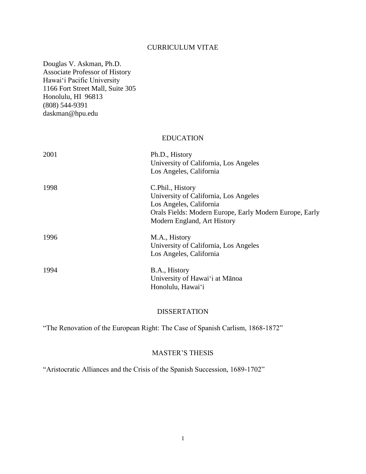### CURRICULUM VITAE

Douglas V. Askman, Ph.D. Associate Professor of History Hawai'i Pacific University 1166 Fort Street Mall, Suite 305 Honolulu, HI 96813 (808) 544-9391 daskman@hpu.edu

#### EDUCATION

| 2001 | Ph.D., History<br>University of California, Los Angeles<br>Los Angeles, California                                                                                             |
|------|--------------------------------------------------------------------------------------------------------------------------------------------------------------------------------|
| 1998 | C.Phil., History<br>University of California, Los Angeles<br>Los Angeles, California<br>Orals Fields: Modern Europe, Early Modern Europe, Early<br>Modern England, Art History |
| 1996 | M.A., History<br>University of California, Los Angeles<br>Los Angeles, California                                                                                              |
| 1994 | B.A., History<br>University of Hawai'i at Mānoa<br>Honolulu, Hawai'i                                                                                                           |

### DISSERTATION

"The Renovation of the European Right: The Case of Spanish Carlism, 1868-1872"

# MASTER'S THESIS

"Aristocratic Alliances and the Crisis of the Spanish Succession, 1689-1702"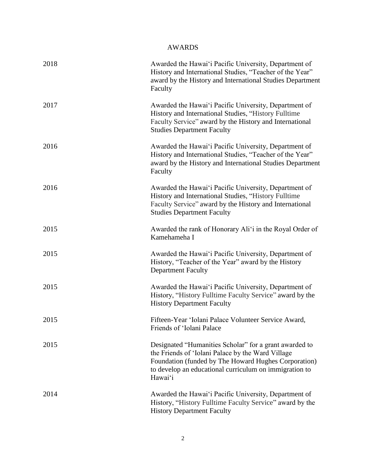# AWARDS

| 2018 | Awarded the Hawai'i Pacific University, Department of<br>History and International Studies, "Teacher of the Year"<br>award by the History and International Studies Department<br>Faculty                                                |
|------|------------------------------------------------------------------------------------------------------------------------------------------------------------------------------------------------------------------------------------------|
| 2017 | Awarded the Hawai'i Pacific University, Department of<br>History and International Studies, "History Fulltime<br>Faculty Service" award by the History and International<br><b>Studies Department Faculty</b>                            |
| 2016 | Awarded the Hawai'i Pacific University, Department of<br>History and International Studies, "Teacher of the Year"<br>award by the History and International Studies Department<br>Faculty                                                |
| 2016 | Awarded the Hawai'i Pacific University, Department of<br>History and International Studies, "History Fulltime<br>Faculty Service" award by the History and International<br><b>Studies Department Faculty</b>                            |
| 2015 | Awarded the rank of Honorary Ali'i in the Royal Order of<br>Kamehameha I                                                                                                                                                                 |
| 2015 | Awarded the Hawai'i Pacific University, Department of<br>History, "Teacher of the Year" award by the History<br><b>Department Faculty</b>                                                                                                |
| 2015 | Awarded the Hawai'i Pacific University, Department of<br>History, "History Fulltime Faculty Service" award by the<br><b>History Department Faculty</b>                                                                                   |
| 2015 | Fifteen-Year 'Iolani Palace Volunteer Service Award,<br>Friends of 'Iolani Palace                                                                                                                                                        |
| 2015 | Designated "Humanities Scholar" for a grant awarded to<br>the Friends of 'Iolani Palace by the Ward Village<br>Foundation (funded by The Howard Hughes Corporation)<br>to develop an educational curriculum on immigration to<br>Hawai'i |
| 2014 | Awarded the Hawai'i Pacific University, Department of<br>History, "History Fulltime Faculty Service" award by the<br><b>History Department Faculty</b>                                                                                   |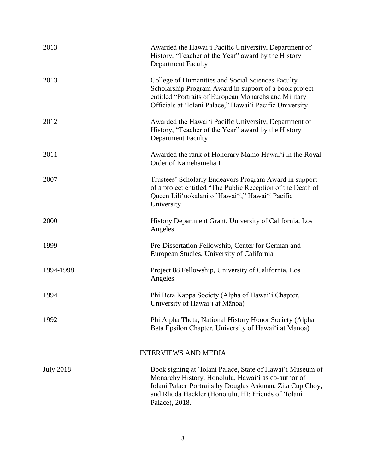| 2013             | Awarded the Hawai'i Pacific University, Department of<br>History, "Teacher of the Year" award by the History<br><b>Department Faculty</b>                                                                                                               |
|------------------|---------------------------------------------------------------------------------------------------------------------------------------------------------------------------------------------------------------------------------------------------------|
| 2013             | College of Humanities and Social Sciences Faculty<br>Scholarship Program Award in support of a book project<br>entitled "Portraits of European Monarchs and Military<br>Officials at 'Iolani Palace," Hawai'i Pacific University                        |
| 2012             | Awarded the Hawai'i Pacific University, Department of<br>History, "Teacher of the Year" award by the History<br><b>Department Faculty</b>                                                                                                               |
| 2011             | Awarded the rank of Honorary Mamo Hawai'i in the Royal<br>Order of Kamehameha I                                                                                                                                                                         |
| 2007             | Trustees' Scholarly Endeavors Program Award in support<br>of a project entitled "The Public Reception of the Death of<br>Queen Lili'uokalani of Hawai'i," Hawai'i Pacific<br>University                                                                 |
| 2000             | History Department Grant, University of California, Los<br>Angeles                                                                                                                                                                                      |
| 1999             | Pre-Dissertation Fellowship, Center for German and<br>European Studies, University of California                                                                                                                                                        |
| 1994-1998        | Project 88 Fellowship, University of California, Los<br>Angeles                                                                                                                                                                                         |
| 1994             | Phi Beta Kappa Society (Alpha of Hawai'i Chapter,<br>University of Hawai'i at Mānoa)                                                                                                                                                                    |
| 1992             | Phi Alpha Theta, National History Honor Society (Alpha<br>Beta Epsilon Chapter, University of Hawai'i at Mānoa)                                                                                                                                         |
|                  | <b>INTERVIEWS AND MEDIA</b>                                                                                                                                                                                                                             |
| <b>July 2018</b> | Book signing at 'Iolani Palace, State of Hawai'i Museum of<br>Monarchy History, Honolulu, Hawai'i as co-author of<br>Iolani Palace Portraits by Douglas Askman, Zita Cup Choy,<br>and Rhoda Hackler (Honolulu, HI: Friends of 'Iolani<br>Palace), 2018. |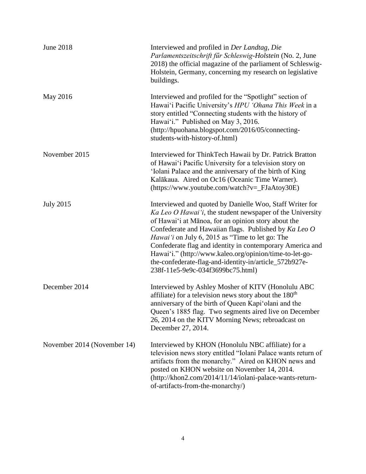| <b>June 2018</b>            | Interviewed and profiled in Der Landtag, Die<br>Parlamentszeitschrift für Schleswig-Holstein (No. 2, June<br>2018) the official magazine of the parliament of Schleswig-<br>Holstein, Germany, concerning my research on legislative<br>buildings.                                                                                                                                                                                                                                                              |
|-----------------------------|-----------------------------------------------------------------------------------------------------------------------------------------------------------------------------------------------------------------------------------------------------------------------------------------------------------------------------------------------------------------------------------------------------------------------------------------------------------------------------------------------------------------|
| May 2016                    | Interviewed and profiled for the "Spotlight" section of<br>Hawai'i Pacific University's HPU 'Ohana This Week in a<br>story entitled "Connecting students with the history of<br>Hawai'i." Published on May 3, 2016.<br>(http://hpuohana.blogspot.com/2016/05/connecting-<br>students-with-history-of.html)                                                                                                                                                                                                      |
| November 2015               | Interviewed for ThinkTech Hawaii by Dr. Patrick Bratton<br>of Hawai'i Pacific University for a television story on<br>'Iolani Palace and the anniversary of the birth of King<br>Kalākaua. Aired on Oc16 (Oceanic Time Warner).<br>$(htips://www.youtube.com/watch?v=$ $FiaAtoy30E)$                                                                                                                                                                                                                            |
| <b>July 2015</b>            | Interviewed and quoted by Danielle Woo, Staff Writer for<br>Ka Leo O Hawai'i, the student newspaper of the University<br>of Hawai'i at Mānoa, for an opinion story about the<br>Confederate and Hawaiian flags. Published by Ka Leo O<br>Hawai'i on July 6, 2015 as "Time to let go: The<br>Confederate flag and identity in contemporary America and<br>Hawai'i." (http://www.kaleo.org/opinion/time-to-let-go-<br>the-confederate-flag-and-identity-in/article_572b927e-<br>238f-11e5-9e9c-034f3699bc75.html) |
| December 2014               | Interviewed by Ashley Mosher of KITV (Honolulu ABC<br>affiliate) for a television news story about the 180 <sup>th</sup><br>anniversary of the birth of Queen Kapi'olani and the<br>Queen's 1885 flag. Two segments aired live on December<br>26, 2014 on the KITV Morning News; rebroadcast on<br>December 27, 2014.                                                                                                                                                                                           |
| November 2014 (November 14) | Interviewed by KHON (Honolulu NBC affiliate) for a<br>television news story entitled "Iolani Palace wants return of<br>artifacts from the monarchy." Aired on KHON news and<br>posted on KHON website on November 14, 2014.<br>(http://khon2.com/2014/11/14/iolani-palace-wants-return-<br>of-artifacts-from-the-monarchy/)                                                                                                                                                                                     |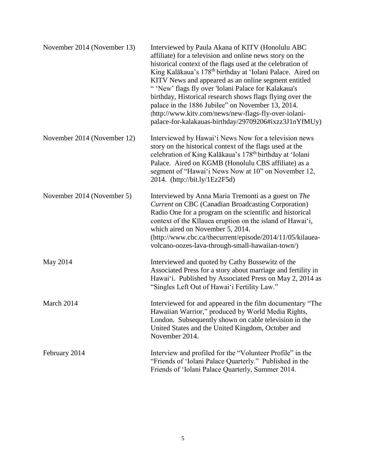| November 2014 (November 13) | Interviewed by Paula Akana of KITV (Honolulu ABC)<br>affiliate) for a television and online news story on the<br>historical context of the flags used at the celebration of<br>King Kalākaua's 178 <sup>th</sup> birthday at 'Iolani Palace. Aired on<br>KITV News and appeared as an online segment entitled<br>"'New' flags fly over 'Iolani Palace for Kalakaua's<br>birthday, Historical research shows flags flying over the<br>palace in the 1886 Jubilee" on November 13, 2014.<br>(http://www.kitv.com/news/new-flags-fly-over-iolani-<br>palace-for-kalakauas-birthday/29709206#ixzz3J1nYfMUy) |
|-----------------------------|---------------------------------------------------------------------------------------------------------------------------------------------------------------------------------------------------------------------------------------------------------------------------------------------------------------------------------------------------------------------------------------------------------------------------------------------------------------------------------------------------------------------------------------------------------------------------------------------------------|
| November 2014 (November 12) | Interviewed by Hawai'i News Now for a television news<br>story on the historical context of the flags used at the<br>celebration of King Kalākaua's 178 <sup>th</sup> birthday at 'Iolani<br>Palace. Aired on KGMB (Honolulu CBS affiliate) as a<br>segment of "Hawai'i News Now at 10" on November 12,<br>2014. (http://bit.ly/1Ez2F5d)                                                                                                                                                                                                                                                                |
| November 2014 (November 5)  | Interviewed by Anna Maria Tremonti as a guest on The<br><b>Current on CBC (Canadian Broadcasting Corporation)</b><br>Radio One for a program on the scientific and historical<br>context of the Kīlauea eruption on the island of Hawai'i,<br>which aired on November 5, 2014.<br>(http://www.cbc.ca/thecurrent/episode/2014/11/05/kilauea-<br>volcano-oozes-lava-through-small-hawaiian-town/)                                                                                                                                                                                                         |
| May 2014                    | Interviewed and quoted by Cathy Bussewitz of the<br>Associated Press for a story about marriage and fertility in<br>Hawai'i. Published by Associated Press on May 2, 2014 as<br>"Singles Left Out of Hawai'i Fertility Law."                                                                                                                                                                                                                                                                                                                                                                            |
| March 2014                  | Interviewed for and appeared in the film documentary "The<br>Hawaiian Warrior," produced by World Media Rights,<br>London. Subsequently shown on cable television in the<br>United States and the United Kingdom, October and<br>November 2014.                                                                                                                                                                                                                                                                                                                                                         |
| February 2014               | Interview and profiled for the "Volunteer Profile" in the<br>"Friends of 'Iolani Palace Quarterly." Published in the<br>Friends of 'Iolani Palace Quarterly, Summer 2014.                                                                                                                                                                                                                                                                                                                                                                                                                               |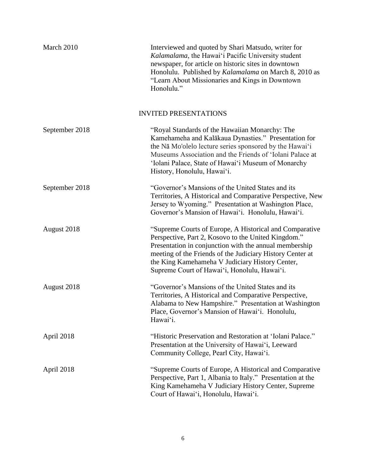| March 2010     | Interviewed and quoted by Shari Matsudo, writer for<br>Kalamalama, the Hawai'i Pacific University student<br>newspaper, for article on historic sites in downtown<br>Honolulu. Published by Kalamalama on March 8, 2010 as<br>"Learn About Missionaries and Kings in Downtown<br>Honolulu."                                              |
|----------------|------------------------------------------------------------------------------------------------------------------------------------------------------------------------------------------------------------------------------------------------------------------------------------------------------------------------------------------|
|                | <b>INVITED PRESENTATIONS</b>                                                                                                                                                                                                                                                                                                             |
| September 2018 | "Royal Standards of the Hawaiian Monarchy: The<br>Kamehameha and Kalākaua Dynasties." Presentation for<br>the Na Mo'olelo lecture series sponsored by the Hawai'i<br>Museums Association and the Friends of 'Iolani Palace at<br>'Iolani Palace, State of Hawai'i Museum of Monarchy<br>History, Honolulu, Hawai'i.                      |
| September 2018 | "Governor's Mansions of the United States and its<br>Territories, A Historical and Comparative Perspective, New<br>Jersey to Wyoming." Presentation at Washington Place,<br>Governor's Mansion of Hawai'i. Honolulu, Hawai'i.                                                                                                            |
| August 2018    | "Supreme Courts of Europe, A Historical and Comparative<br>Perspective, Part 2, Kosovo to the United Kingdom."<br>Presentation in conjunction with the annual membership<br>meeting of the Friends of the Judiciary History Center at<br>the King Kamehameha V Judiciary History Center,<br>Supreme Court of Hawai'i, Honolulu, Hawai'i. |
| August 2018    | "Governor's Mansions of the United States and its<br>Territories, A Historical and Comparative Perspective,<br>Alabama to New Hampshire." Presentation at Washington<br>Place, Governor's Mansion of Hawai'i. Honolulu,<br>Hawai'i.                                                                                                      |
| April 2018     | "Historic Preservation and Restoration at 'Iolani Palace."<br>Presentation at the University of Hawai'i, Leeward<br>Community College, Pearl City, Hawai'i.                                                                                                                                                                              |
| April 2018     | "Supreme Courts of Europe, A Historical and Comparative<br>Perspective, Part 1, Albania to Italy." Presentation at the<br>King Kamehameha V Judiciary History Center, Supreme<br>Court of Hawai'i, Honolulu, Hawai'i.                                                                                                                    |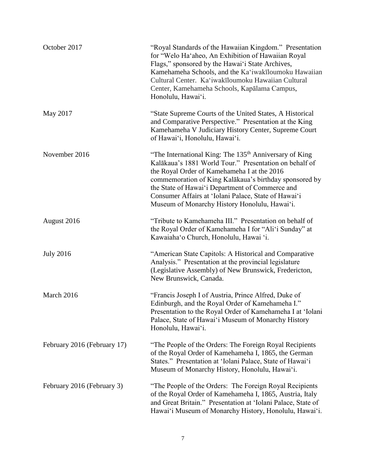| October 2017                | "Royal Standards of the Hawaiian Kingdom." Presentation<br>for "Welo Ha'aheo, An Exhibition of Hawaiian Royal<br>Flags," sponsored by the Hawai'i State Archives,<br>Kamehameha Schools, and the Ka'iwakīloumoku Hawaiian<br>Cultural Center. Ka'iwakīloumoku Hawaiian Cultural<br>Center, Kamehameha Schools, Kapālama Campus,<br>Honolulu, Hawai'i.                                             |
|-----------------------------|---------------------------------------------------------------------------------------------------------------------------------------------------------------------------------------------------------------------------------------------------------------------------------------------------------------------------------------------------------------------------------------------------|
| May 2017                    | "State Supreme Courts of the United States, A Historical<br>and Comparative Perspective." Presentation at the King<br>Kamehameha V Judiciary History Center, Supreme Court<br>of Hawai'i, Honolulu, Hawai'i.                                                                                                                                                                                      |
| November 2016               | "The International King: The 135 <sup>th</sup> Anniversary of King<br>Kalākaua's 1881 World Tour." Presentation on behalf of<br>the Royal Order of Kamehameha I at the 2016<br>commemoration of King Kalākaua's birthday sponsored by<br>the State of Hawai'i Department of Commerce and<br>Consumer Affairs at 'Iolani Palace, State of Hawai'i<br>Museum of Monarchy History Honolulu, Hawai'i. |
| August 2016                 | "Tribute to Kamehameha III." Presentation on behalf of<br>the Royal Order of Kamehameha I for "Ali'i Sunday" at<br>Kawaiaha'o Church, Honolulu, Hawai 'i.                                                                                                                                                                                                                                         |
| <b>July 2016</b>            | "American State Capitols: A Historical and Comparative<br>Analysis." Presentation at the provincial legislature<br>(Legislative Assembly) of New Brunswick, Fredericton,<br>New Brunswick, Canada.                                                                                                                                                                                                |
| March 2016                  | "Francis Joseph I of Austria, Prince Alfred, Duke of<br>Edinburgh, and the Royal Order of Kamehameha I."<br>Presentation to the Royal Order of Kamehameha I at 'Iolani<br>Palace, State of Hawai'i Museum of Monarchy History<br>Honolulu, Hawai'i.                                                                                                                                               |
| February 2016 (February 17) | "The People of the Orders: The Foreign Royal Recipients<br>of the Royal Order of Kamehameha I, 1865, the German<br>States." Presentation at 'Iolani Palace, State of Hawai'i<br>Museum of Monarchy History, Honolulu, Hawai'i.                                                                                                                                                                    |
| February 2016 (February 3)  | "The People of the Orders: The Foreign Royal Recipients<br>of the Royal Order of Kamehameha I, 1865, Austria, Italy<br>and Great Britain." Presentation at 'Iolani Palace, State of<br>Hawai'i Museum of Monarchy History, Honolulu, Hawai'i.                                                                                                                                                     |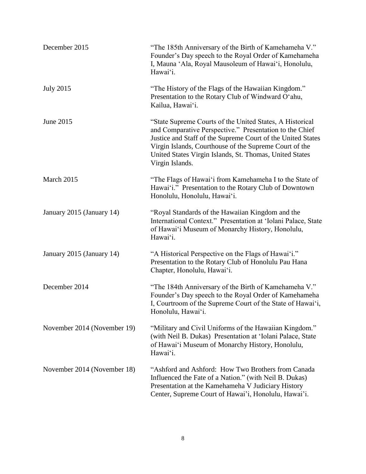| December 2015               | "The 185th Anniversary of the Birth of Kamehameha V."<br>Founder's Day speech to the Royal Order of Kamehameha<br>I, Mauna 'Ala, Royal Mausoleum of Hawai'i, Honolulu,<br>Hawai'i.                                                                                                                                         |
|-----------------------------|----------------------------------------------------------------------------------------------------------------------------------------------------------------------------------------------------------------------------------------------------------------------------------------------------------------------------|
| <b>July 2015</b>            | "The History of the Flags of the Hawaiian Kingdom."<br>Presentation to the Rotary Club of Windward O'ahu,<br>Kailua, Hawai'i.                                                                                                                                                                                              |
| June 2015                   | "State Supreme Courts of the United States, A Historical<br>and Comparative Perspective." Presentation to the Chief<br>Justice and Staff of the Supreme Court of the United States<br>Virgin Islands, Courthouse of the Supreme Court of the<br>United States Virgin Islands, St. Thomas, United States<br>Virgin Islands. |
| March 2015                  | "The Flags of Hawai'i from Kamehameha I to the State of<br>Hawai'i." Presentation to the Rotary Club of Downtown<br>Honolulu, Honolulu, Hawai'i.                                                                                                                                                                           |
| January 2015 (January 14)   | "Royal Standards of the Hawaiian Kingdom and the<br>International Context." Presentation at 'Iolani Palace, State<br>of Hawai'i Museum of Monarchy History, Honolulu,<br>Hawai'i.                                                                                                                                          |
| January 2015 (January 14)   | "A Historical Perspective on the Flags of Hawai'i."<br>Presentation to the Rotary Club of Honolulu Pau Hana<br>Chapter, Honolulu, Hawai'i.                                                                                                                                                                                 |
| December 2014               | "The 184th Anniversary of the Birth of Kamehameha V."<br>Founder's Day speech to the Royal Order of Kamehameha<br>I, Courtroom of the Supreme Court of the State of Hawai'i,<br>Honolulu, Hawai'i.                                                                                                                         |
| November 2014 (November 19) | "Military and Civil Uniforms of the Hawaiian Kingdom."<br>(with Neil B. Dukas) Presentation at 'Iolani Palace, State<br>of Hawai'i Museum of Monarchy History, Honolulu,<br>Hawai'i.                                                                                                                                       |
| November 2014 (November 18) | "Ashford and Ashford: How Two Brothers from Canada"<br>Influenced the Fate of a Nation." (with Neil B. Dukas)<br>Presentation at the Kamehameha V Judiciary History<br>Center, Supreme Court of Hawai'i, Honolulu, Hawai'i.                                                                                                |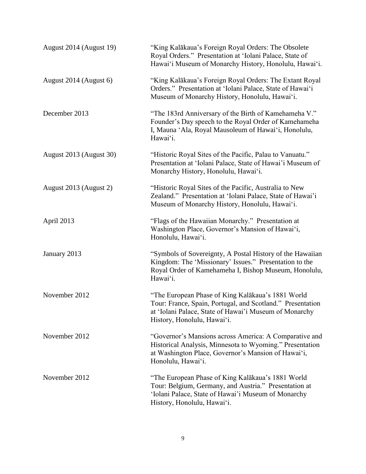| August 2014 (August 19) | "King Kalākaua's Foreign Royal Orders: The Obsolete<br>Royal Orders." Presentation at 'Iolani Palace, State of<br>Hawai'i Museum of Monarchy History, Honolulu, Hawai'i.                                 |
|-------------------------|----------------------------------------------------------------------------------------------------------------------------------------------------------------------------------------------------------|
| August 2014 (August 6)  | "King Kalākaua's Foreign Royal Orders: The Extant Royal<br>Orders." Presentation at 'Iolani Palace, State of Hawai'i<br>Museum of Monarchy History, Honolulu, Hawai'i.                                   |
| December 2013           | "The 183rd Anniversary of the Birth of Kamehameha V."<br>Founder's Day speech to the Royal Order of Kamehameha<br>I, Mauna 'Ala, Royal Mausoleum of Hawai'i, Honolulu,<br>Hawai'i.                       |
| August 2013 (August 30) | "Historic Royal Sites of the Pacific, Palau to Vanuatu."<br>Presentation at 'Iolani Palace, State of Hawai'i Museum of<br>Monarchy History, Honolulu, Hawai'i.                                           |
| August 2013 (August 2)  | "Historic Royal Sites of the Pacific, Australia to New<br>Zealand." Presentation at 'Iolani Palace, State of Hawai'i<br>Museum of Monarchy History, Honolulu, Hawai'i.                                   |
| April 2013              | "Flags of the Hawaiian Monarchy." Presentation at<br>Washington Place, Governor's Mansion of Hawai'i,<br>Honolulu, Hawai'i.                                                                              |
| January 2013            | "Symbols of Sovereignty, A Postal History of the Hawaiian<br>Kingdom: The 'Missionary' Issues." Presentation to the<br>Royal Order of Kamehameha I, Bishop Museum, Honolulu,<br>Hawai'i.                 |
| November 2012           | "The European Phase of King Kalākaua's 1881 World<br>Tour: France, Spain, Portugal, and Scotland." Presentation<br>at 'Iolani Palace, State of Hawai'i Museum of Monarchy<br>History, Honolulu, Hawai'i. |
| November 2012           | "Governor's Mansions across America: A Comparative and<br>Historical Analysis, Minnesota to Wyoming." Presentation<br>at Washington Place, Governor's Mansion of Hawai'i,<br>Honolulu, Hawai'i.          |
| November 2012           | "The European Phase of King Kalākaua's 1881 World<br>Tour: Belgium, Germany, and Austria." Presentation at<br>'Iolani Palace, State of Hawai'i Museum of Monarchy<br>History, Honolulu, Hawai'i.         |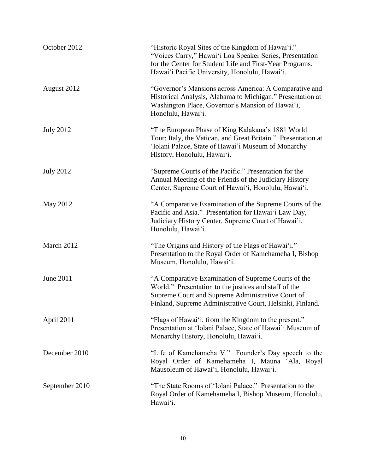| October 2012     | "Historic Royal Sites of the Kingdom of Hawai'i."<br>"Voices Carry," Hawai'i Loa Speaker Series, Presentation<br>for the Center for Student Life and First-Year Programs.<br>Hawai'i Pacific University, Honolulu, Hawai'i.    |
|------------------|--------------------------------------------------------------------------------------------------------------------------------------------------------------------------------------------------------------------------------|
| August 2012      | "Governor's Mansions across America: A Comparative and<br>Historical Analysis, Alabama to Michigan." Presentation at<br>Washington Place, Governor's Mansion of Hawai'i,<br>Honolulu, Hawai'i.                                 |
| <b>July 2012</b> | "The European Phase of King Kalākaua's 1881 World<br>Tour: Italy, the Vatican, and Great Britain." Presentation at<br>'Iolani Palace, State of Hawai'i Museum of Monarchy<br>History, Honolulu, Hawai'i.                       |
| <b>July 2012</b> | "Supreme Courts of the Pacific." Presentation for the<br>Annual Meeting of the Friends of the Judiciary History<br>Center, Supreme Court of Hawai'i, Honolulu, Hawai'i.                                                        |
| May 2012         | "A Comparative Examination of the Supreme Courts of the<br>Pacific and Asia." Presentation for Hawai'i Law Day,<br>Judiciary History Center, Supreme Court of Hawai'i,<br>Honolulu, Hawai'i.                                   |
| March 2012       | "The Origins and History of the Flags of Hawai'i."<br>Presentation to the Royal Order of Kamehameha I, Bishop<br>Museum, Honolulu, Hawai'i.                                                                                    |
| June 2011        | "A Comparative Examination of Supreme Courts of the<br>World." Presentation to the justices and staff of the<br>Supreme Court and Supreme Administrative Court of<br>Finland, Supreme Administrative Court, Helsinki, Finland. |
| April 2011       | "Flags of Hawai'i, from the Kingdom to the present."<br>Presentation at 'Iolani Palace, State of Hawai'i Museum of<br>Monarchy History, Honolulu, Hawai'i.                                                                     |
| December 2010    | "Life of Kamehameha V." Founder's Day speech to the<br>Royal Order of Kamehameha I, Mauna 'Ala, Royal<br>Mausoleum of Hawai'i, Honolulu, Hawai'i.                                                                              |
| September 2010   | "The State Rooms of 'Iolani Palace." Presentation to the<br>Royal Order of Kamehameha I, Bishop Museum, Honolulu,<br>Hawai'i.                                                                                                  |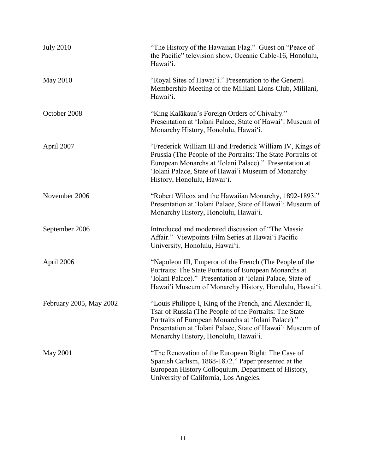| <b>July 2010</b>        | "The History of the Hawaiian Flag." Guest on "Peace of<br>the Pacific" television show, Oceanic Cable-16, Honolulu,<br>Hawai'i.                                                                                                                                                 |
|-------------------------|---------------------------------------------------------------------------------------------------------------------------------------------------------------------------------------------------------------------------------------------------------------------------------|
| May 2010                | "Royal Sites of Hawai'i." Presentation to the General<br>Membership Meeting of the Mililani Lions Club, Mililani,<br>Hawai'i.                                                                                                                                                   |
| October 2008            | "King Kalākaua's Foreign Orders of Chivalry."<br>Presentation at 'Iolani Palace, State of Hawai'i Museum of<br>Monarchy History, Honolulu, Hawai'i.                                                                                                                             |
| April 2007              | "Frederick William III and Frederick William IV, Kings of<br>Prussia (The People of the Portraits: The State Portraits of<br>European Monarchs at 'Iolani Palace)." Presentation at<br>'Iolani Palace, State of Hawai'i Museum of Monarchy<br>History, Honolulu, Hawai'i.       |
| November 2006           | "Robert Wilcox and the Hawaiian Monarchy, 1892-1893."<br>Presentation at 'Iolani Palace, State of Hawai'i Museum of<br>Monarchy History, Honolulu, Hawai'i.                                                                                                                     |
| September 2006          | Introduced and moderated discussion of "The Massie<br>Affair." Viewpoints Film Series at Hawai'i Pacific<br>University, Honolulu, Hawai'i.                                                                                                                                      |
| April 2006              | "Napoleon III, Emperor of the French (The People of the<br>Portraits: The State Portraits of European Monarchs at<br>'Iolani Palace)." Presentation at 'Iolani Palace, State of<br>Hawai'i Museum of Monarchy History, Honolulu, Hawai'i.                                       |
| February 2005, May 2002 | "Louis Philippe I, King of the French, and Alexander II,<br>Tsar of Russia (The People of the Portraits: The State<br>Portraits of European Monarchs at 'Iolani Palace)."<br>Presentation at 'Iolani Palace, State of Hawai'i Museum of<br>Monarchy History, Honolulu, Hawai'i. |
| May 2001                | "The Renovation of the European Right: The Case of<br>Spanish Carlism, 1868-1872." Paper presented at the<br>European History Colloquium, Department of History,<br>University of California, Los Angeles.                                                                      |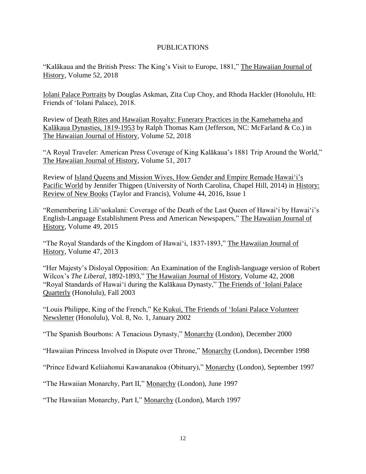# PUBLICATIONS

"Kalākaua and the British Press: The King's Visit to Europe, 1881," The Hawaiian Journal of History, Volume 52, 2018

Iolani Palace Portraits by Douglas Askman, Zita Cup Choy, and Rhoda Hackler (Honolulu, HI: Friends of 'Iolani Palace), 2018.

Review of Death Rites and Hawaiian Royalty: Funerary Practices in the Kamehameha and Kalākaua Dynasties, 1819-1953 by Ralph Thomas Kam (Jefferson, NC: McFarland & Co.) in The Hawaiian Journal of History, Volume 52, 2018

"A Royal Traveler: American Press Coverage of King Kalākaua's 1881 Trip Around the World," The Hawaiian Journal of History, Volume 51, 2017

Review of Island Queens and Mission Wives, How Gender and Empire Remade Hawai'i's Pacific World by Jennifer Thigpen (University of North Carolina, Chapel Hill, 2014) in History: Review of New Books (Taylor and Francis), Volume 44, 2016, Issue 1

"Remembering Lili'uokalani: Coverage of the Death of the Last Queen of Hawai'i by Hawai'i's English-Language Establishment Press and American Newspapers," The Hawaiian Journal of History, Volume 49, 2015

"The Royal Standards of the Kingdom of Hawai'i, 1837-1893," The Hawaiian Journal of History, Volume 47, 2013

"Her Majesty's Disloyal Opposition: An Examination of the English-language version of Robert Wilcox's *The Liberal*, 1892-1893," The Hawaiian Journal of History, Volume 42, 2008 "Royal Standards of Hawai'i during the Kalākaua Dynasty," The Friends of 'Iolani Palace Quarterly (Honolulu), Fall 2003

"Louis Philippe, King of the French," Ke Kukui, The Friends of 'Iolani Palace Volunteer Newsletter (Honolulu), Vol. 8, No. 1, January 2002

"The Spanish Bourbons: A Tenacious Dynasty," Monarchy (London), December 2000

"Hawaiian Princess Involved in Dispute over Throne," Monarchy (London), December 1998

"Prince Edward Keliiahonui Kawananakoa (Obituary)," Monarchy (London), September 1997

"The Hawaiian Monarchy, Part II," Monarchy (London), June 1997

"The Hawaiian Monarchy, Part I," Monarchy (London), March 1997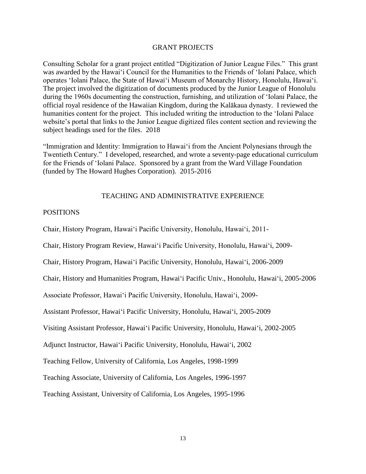#### GRANT PROJECTS

Consulting Scholar for a grant project entitled "Digitization of Junior League Files." This grant was awarded by the Hawai'i Council for the Humanities to the Friends of 'Iolani Palace, which operates 'Iolani Palace, the State of Hawai'i Museum of Monarchy History, Honolulu, Hawai'i. The project involved the digitization of documents produced by the Junior League of Honolulu during the 1960s documenting the construction, furnishing, and utilization of 'Iolani Palace, the official royal residence of the Hawaiian Kingdom, during the Kalākaua dynasty. I reviewed the humanities content for the project. This included writing the introduction to the 'Iolani Palace website's portal that links to the Junior League digitized files content section and reviewing the subject headings used for the files. 2018

"Immigration and Identity: Immigration to Hawai'i from the Ancient Polynesians through the Twentieth Century." I developed, researched, and wrote a seventy-page educational curriculum for the Friends of 'Iolani Palace. Sponsored by a grant from the Ward Village Foundation (funded by The Howard Hughes Corporation). 2015-2016

#### TEACHING AND ADMINISTRATIVE EXPERIENCE

#### POSITIONS

Chair, History Program, Hawai'i Pacific University, Honolulu, Hawai'i, 2011-

Chair, History Program Review, Hawai'i Pacific University, Honolulu, Hawai'i, 2009-

Chair, History Program, Hawai'i Pacific University, Honolulu, Hawai'i, 2006-2009

Chair, History and Humanities Program, Hawai'i Pacific Univ., Honolulu, Hawai'i, 2005-2006

Associate Professor, Hawai'i Pacific University, Honolulu, Hawai'i, 2009-

Assistant Professor, Hawai'i Pacific University, Honolulu, Hawai'i, 2005-2009

Visiting Assistant Professor, Hawai'i Pacific University, Honolulu, Hawai'i, 2002-2005

Adjunct Instructor, Hawai'i Pacific University, Honolulu, Hawai'i, 2002

Teaching Fellow, University of California, Los Angeles, 1998-1999

Teaching Associate, University of California, Los Angeles, 1996-1997

Teaching Assistant, University of California, Los Angeles, 1995-1996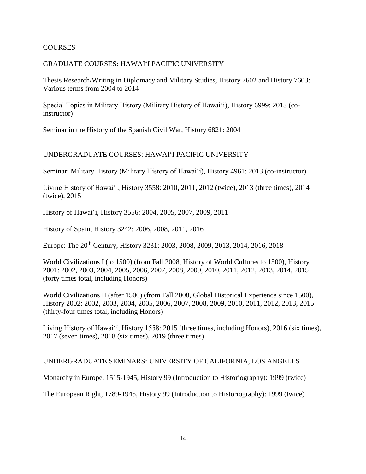# COURSES

### GRADUATE COURSES: HAWAI'I PACIFIC UNIVERSITY

Thesis Research/Writing in Diplomacy and Military Studies, History 7602 and History 7603: Various terms from 2004 to 2014

Special Topics in Military History (Military History of Hawai'i), History 6999: 2013 (coinstructor)

Seminar in the History of the Spanish Civil War, History 6821: 2004

# UNDERGRADUATE COURSES: HAWAI'I PACIFIC UNIVERSITY

Seminar: Military History (Military History of Hawai'i), History 4961: 2013 (co-instructor)

Living History of Hawai'i, History 3558: 2010, 2011, 2012 (twice), 2013 (three times), 2014 (twice), 2015

History of Hawai'i, History 3556: 2004, 2005, 2007, 2009, 2011

History of Spain, History 3242: 2006, 2008, 2011, 2016

Europe: The 20<sup>th</sup> Century, History 3231: 2003, 2008, 2009, 2013, 2014, 2016, 2018

World Civilizations I (to 1500) (from Fall 2008, History of World Cultures to 1500), History 2001: 2002, 2003, 2004, 2005, 2006, 2007, 2008, 2009, 2010, 2011, 2012, 2013, 2014, 2015 (forty times total, including Honors)

World Civilizations II (after 1500) (from Fall 2008, Global Historical Experience since 1500), History 2002: 2002, 2003, 2004, 2005, 2006, 2007, 2008, 2009, 2010, 2011, 2012, 2013, 2015 (thirty-four times total, including Honors)

Living History of Hawai'i, History 1558: 2015 (three times, including Honors), 2016 (six times), 2017 (seven times), 2018 (six times), 2019 (three times)

### UNDERGRADUATE SEMINARS: UNIVERSITY OF CALIFORNIA, LOS ANGELES

Monarchy in Europe, 1515-1945, History 99 (Introduction to Historiography): 1999 (twice)

The European Right, 1789-1945, History 99 (Introduction to Historiography): 1999 (twice)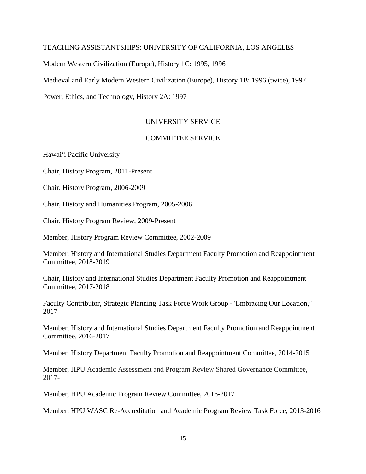#### TEACHING ASSISTANTSHIPS: UNIVERSITY OF CALIFORNIA, LOS ANGELES

Modern Western Civilization (Europe), History 1C: 1995, 1996

Medieval and Early Modern Western Civilization (Europe), History 1B: 1996 (twice), 1997

Power, Ethics, and Technology, History 2A: 1997

## UNIVERSITY SERVICE

# COMMITTEE SERVICE

Hawai'i Pacific University

Chair, History Program, 2011-Present

Chair, History Program, 2006-2009

Chair, History and Humanities Program, 2005-2006

Chair, History Program Review, 2009-Present

Member, History Program Review Committee, 2002-2009

Member, History and International Studies Department Faculty Promotion and Reappointment Committee, 2018-2019

Chair, History and International Studies Department Faculty Promotion and Reappointment Committee, 2017-2018

Faculty Contributor, Strategic Planning Task Force Work Group -"Embracing Our Location," 2017

Member, History and International Studies Department Faculty Promotion and Reappointment Committee, 2016-2017

Member, History Department Faculty Promotion and Reappointment Committee, 2014-2015

Member, HPU Academic Assessment and Program Review Shared Governance Committee, 2017-

Member, HPU Academic Program Review Committee, 2016-2017

Member, HPU WASC Re-Accreditation and Academic Program Review Task Force, 2013-2016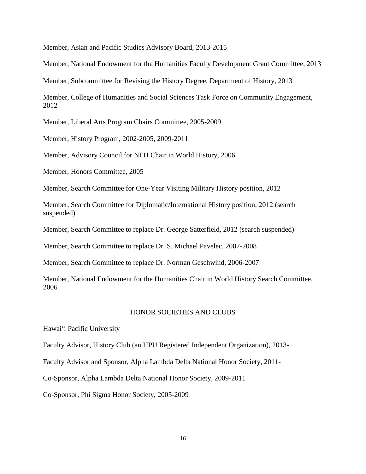Member, Asian and Pacific Studies Advisory Board, 2013-2015

Member, National Endowment for the Humanities Faculty Development Grant Committee, 2013

Member, Subcommittee for Revising the History Degree, Department of History, 2013

Member, College of Humanities and Social Sciences Task Force on Community Engagement, 2012

Member, Liberal Arts Program Chairs Committee, 2005-2009

Member, History Program, 2002-2005, 2009-2011

Member, Advisory Council for NEH Chair in World History, 2006

Member, Honors Committee, 2005

Member, Search Committee for One-Year Visiting Military History position, 2012

Member, Search Committee for Diplomatic/International History position, 2012 (search suspended)

Member, Search Committee to replace Dr. George Satterfield, 2012 (search suspended)

Member, Search Committee to replace Dr. S. Michael Pavelec, 2007-2008

Member, Search Committee to replace Dr. Norman Geschwind, 2006-2007

Member, National Endowment for the Humanities Chair in World History Search Committee, 2006

#### HONOR SOCIETIES AND CLUBS

Hawai'i Pacific University

Faculty Advisor, History Club (an HPU Registered Independent Organization), 2013-

Faculty Advisor and Sponsor, Alpha Lambda Delta National Honor Society, 2011-

Co-Sponsor, Alpha Lambda Delta National Honor Society, 2009-2011

Co-Sponsor, Phi Sigma Honor Society, 2005-2009